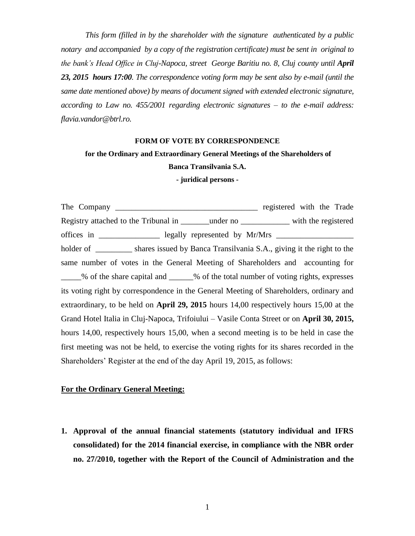*This form (filled in by the shareholder with the signature authenticated by a public notary and accompanied by a copy of the registration certificate) must be sent in original to the bank's Head Office in Cluj-Napoca, street George Baritiu no. 8, Cluj county until April 23, 2015 hours 17:00. The correspondence voting form may be sent also by e-mail (until the same date mentioned above) by means of document signed with extended electronic signature, according to Law no. 455/2001 regarding electronic signatures – to the e-mail address: [flavia.vandor@btrl.ro.](mailto:flavia.vandor@btrl.ro)*

#### **FORM OF VOTE BY CORRESPONDENCE**

# **for the Ordinary and Extraordinary General Meetings of the Shareholders of**

## **Banca Transilvania S.A.**

#### **- juridical persons -**

The Company \_\_\_\_\_\_\_\_\_\_\_\_\_\_\_\_\_\_\_\_\_\_\_\_\_\_\_\_\_\_\_\_\_\_\_ registered with the Trade Registry attached to the Tribunal in The under no with the registered offices in \_\_\_\_\_\_\_\_\_\_\_\_\_\_\_\_\_ legally represented by Mr/Mrs \_\_\_\_\_\_\_\_\_\_\_\_\_\_\_\_\_\_\_\_\_ holder of \_\_\_\_\_\_\_\_\_\_ shares issued by Banca Transilvania S.A., giving it the right to the same number of votes in the General Meeting of Shareholders and accounting for % of the share capital and  $\%$  of the total number of voting rights, expresses its voting right by correspondence in the General Meeting of Shareholders, ordinary and extraordinary, to be held on **April 29, 2015** hours 14,00 respectively hours 15,00 at the Grand Hotel Italia in Cluj-Napoca, Trifoiului – Vasile Conta Street or on **April 30, 2015,** hours 14,00, respectively hours 15,00, when a second meeting is to be held in case the first meeting was not be held, to exercise the voting rights for its shares recorded in the Shareholders' Register at the end of the day April 19, 2015, as follows:

### **For the Ordinary General Meeting:**

**1. Approval of the annual financial statements (statutory individual and IFRS consolidated) for the 2014 financial exercise, in compliance with the NBR order no. 27/2010, together with the Report of the Council of Administration and the**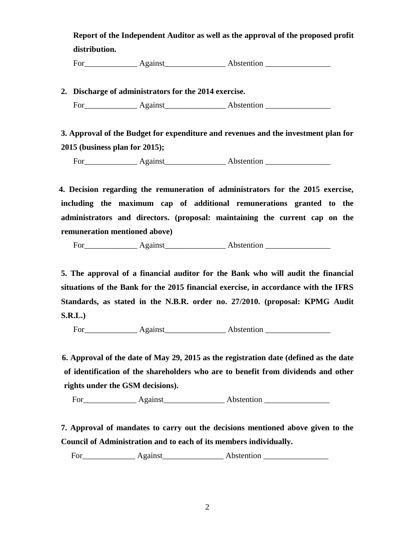**Report of the Independent Auditor as well as the approval of the proposed profit distribution.**

For\_\_\_\_\_\_\_\_\_\_\_\_\_ Against\_\_\_\_\_\_\_\_\_\_\_\_\_\_\_ Abstention \_\_\_\_\_\_\_\_\_\_\_\_\_\_\_\_

**2. Discharge of administrators for the 2014 exercise.** 

For Against Abstention **Abstention** 

 **3. Approval of the Budget for expenditure and revenues and the investment plan for 2015 (business plan for 2015);**

For Against Abstention

 **4. Decision regarding the remuneration of administrators for the 2015 exercise, including the maximum cap of additional remunerations granted to the administrators and directors. (proposal: maintaining the current cap on the remuneration mentioned above)**

For\_\_\_\_\_\_\_\_\_\_\_\_\_ Against\_\_\_\_\_\_\_\_\_\_\_\_\_\_\_ Abstention \_\_\_\_\_\_\_\_\_\_\_\_\_\_\_\_

**5. The approval of a financial auditor for the Bank who will audit the financial situations of the Bank for the 2015 financial exercise, in accordance with the IFRS Standards, as stated in the N.B.R. order no. 27/2010. (proposal: KPMG Audit S.R.L.)**

For\_\_\_\_\_\_\_\_\_\_\_\_\_ Against\_\_\_\_\_\_\_\_\_\_\_\_\_\_\_ Abstention \_\_\_\_\_\_\_\_\_\_\_\_\_\_\_\_

 **6. Approval of the date of May 29, 2015 as the registration date (defined as the date of identification of the shareholders who are to benefit from dividends and other rights under the GSM decisions).**

For Against Abstention

**7. Approval of mandates to carry out the decisions mentioned above given to the Council of Administration and to each of its members individually.**

For\_\_\_\_\_\_\_\_\_\_\_\_\_ Against\_\_\_\_\_\_\_\_\_\_\_\_\_\_\_ Abstention \_\_\_\_\_\_\_\_\_\_\_\_\_\_\_\_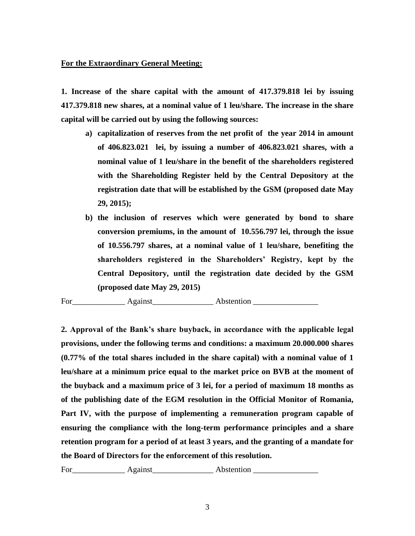# **For the Extraordinary General Meeting:**

**1. Increase of the share capital with the amount of 417.379.818 lei by issuing 417.379.818 new shares, at a nominal value of 1 leu/share. The increase in the share capital will be carried out by using the following sources:**

- **a) capitalization of reserves from the net profit of the year 2014 in amount of 406.823.021 lei, by issuing a number of 406.823.021 shares, with a nominal value of 1 leu/share in the benefit of the shareholders registered with the Shareholding Register held by the Central Depository at the registration date that will be established by the GSM (proposed date May 29, 2015);**
- **b) the inclusion of reserves which were generated by bond to share conversion premiums, in the amount of 10.556.797 lei, through the issue of 10.556.797 shares, at a nominal value of 1 leu/share, benefiting the shareholders registered in the Shareholders' Registry, kept by the Central Depository, until the registration date decided by the GSM (proposed date May 29, 2015)**

For\_\_\_\_\_\_\_\_\_\_\_\_\_ Against\_\_\_\_\_\_\_\_\_\_\_\_\_\_\_ Abstention \_\_\_\_\_\_\_\_\_\_\_\_\_\_\_\_

**2. Approval of the Bank's share buyback, in accordance with the applicable legal provisions, under the following terms and conditions: a maximum 20.000.000 shares (0.77% of the total shares included in the share capital) with a nominal value of 1 leu/share at a minimum price equal to the market price on BVB at the moment of the buyback and a maximum price of 3 lei, for a period of maximum 18 months as of the publishing date of the EGM resolution in the Official Monitor of Romania, Part IV, with the purpose of implementing a remuneration program capable of ensuring the compliance with the long-term performance principles and a share retention program for a period of at least 3 years, and the granting of a mandate for the Board of Directors for the enforcement of this resolution.** 

For Against Abstention